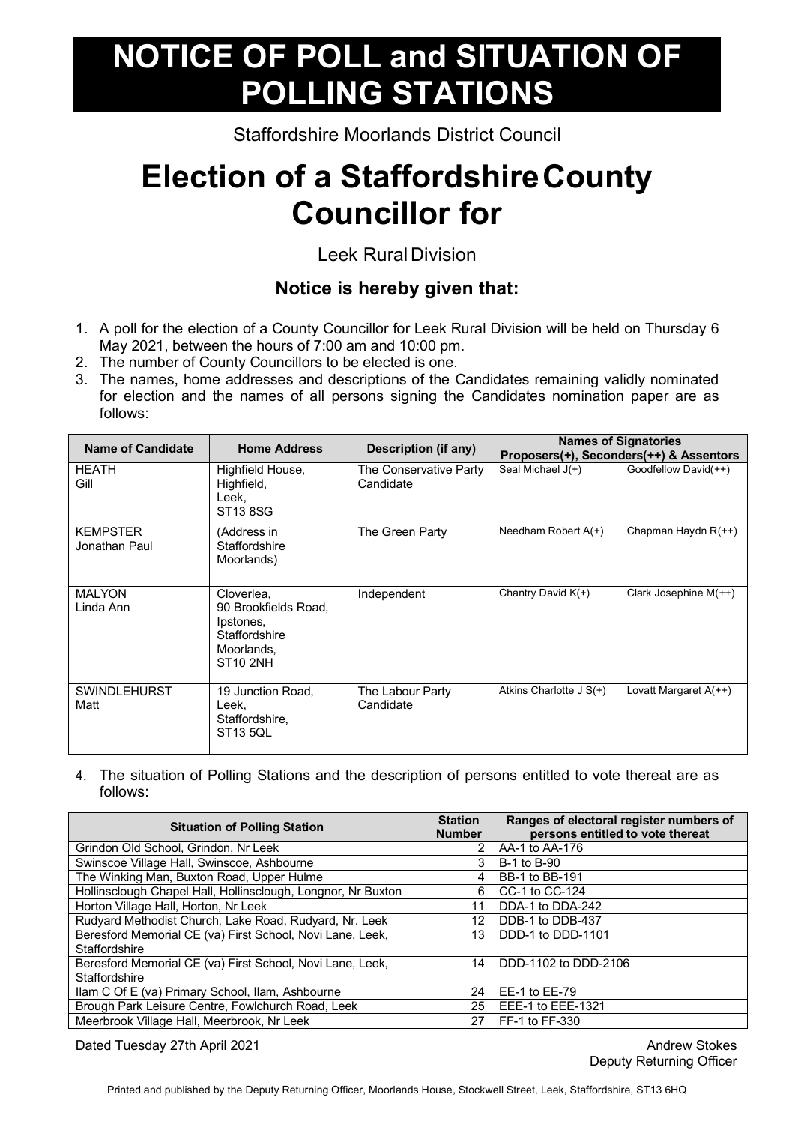## **NOTICE OF POLL and SITUATION OF POLLING STATIONS**

Staffordshire Moorlands District Council

## **Election of a StaffordshireCounty Councillor for**

Leek Rural Division

## **Notice is hereby given that:**

- 1. A poll for the election of a County Councillor for Leek Rural Division will be held on Thursday 6 May 2021, between the hours of 7:00 am and 10:00 pm.
- 2. The number of County Councillors to be elected is one.
- 3. The names, home addresses and descriptions of the Candidates remaining validly nominated for election and the names of all persons signing the Candidates nomination paper are as follows:

| <b>Name of Candidate</b>         | <b>Home Address</b>                                                                               | Description (if any)                |                           | <b>Names of Signatories</b><br>Proposers(+), Seconders(++) & Assentors |
|----------------------------------|---------------------------------------------------------------------------------------------------|-------------------------------------|---------------------------|------------------------------------------------------------------------|
| <b>HEATH</b><br>Gill             | Highfield House,<br>Highfield,<br>Leek,<br>ST138SG                                                | The Conservative Party<br>Candidate | Seal Michael $J(+)$       | Goodfellow David(++)                                                   |
| <b>KEMPSTER</b><br>Jonathan Paul | (Address in<br>Staffordshire<br>Moorlands)                                                        | The Green Party                     | Needham Robert $A(+)$     | Chapman Haydn $R$ (++)                                                 |
| <b>MALYON</b><br>Linda Ann       | Cloverlea,<br>90 Brookfields Road,<br>Ipstones,<br>Staffordshire<br>Moorlands.<br><b>ST10 2NH</b> | Independent                         | Chantry David K(+)        | Clark Josephine $M(++)$                                                |
| <b>SWINDLEHURST</b><br>Matt      | 19 Junction Road,<br>Leek.<br>Staffordshire,<br>ST13 5QL                                          | The Labour Party<br>Candidate       | Atkins Charlotte $J S(+)$ | Lovatt Margaret $A$ (++)                                               |

4. The situation of Polling Stations and the description of persons entitled to vote thereat are as follows:

| <b>Situation of Polling Station</b>                          |    | Ranges of electoral register numbers of<br>persons entitled to vote thereat |
|--------------------------------------------------------------|----|-----------------------------------------------------------------------------|
| Grindon Old School, Grindon, Nr Leek                         | 2  | AA-1 to AA-176                                                              |
| Swinscoe Village Hall, Swinscoe, Ashbourne                   |    | B-1 to B-90                                                                 |
| The Winking Man, Buxton Road, Upper Hulme                    | 4  | BB-1 to BB-191                                                              |
| Hollinsclough Chapel Hall, Hollinsclough, Longnor, Nr Buxton | 6. | CC-1 to CC-124                                                              |
| Horton Village Hall, Horton, Nr Leek                         | 11 | DDA-1 to DDA-242                                                            |
| Rudyard Methodist Church, Lake Road, Rudyard, Nr. Leek       | 12 | DDB-1 to DDB-437                                                            |
| Beresford Memorial CE (va) First School, Novi Lane, Leek,    |    | DDD-1 to DDD-1101                                                           |
| Staffordshire                                                |    |                                                                             |
| Beresford Memorial CE (va) First School, Novi Lane, Leek,    | 14 | DDD-1102 to DDD-2106                                                        |
| Staffordshire                                                |    |                                                                             |
| Ilam C Of E (va) Primary School, Ilam, Ashbourne             |    | EE-1 to EE-79                                                               |
| Brough Park Leisure Centre, Fowlchurch Road, Leek            |    | EEE-1 to EEE-1321                                                           |
| Meerbrook Village Hall, Meerbrook, Nr Leek                   | 27 | FF-1 to FF-330                                                              |

Dated Tuesday 27th April 2021 Andrew Stokes and Tuesday 27th April 2021

Deputy Returning Officer